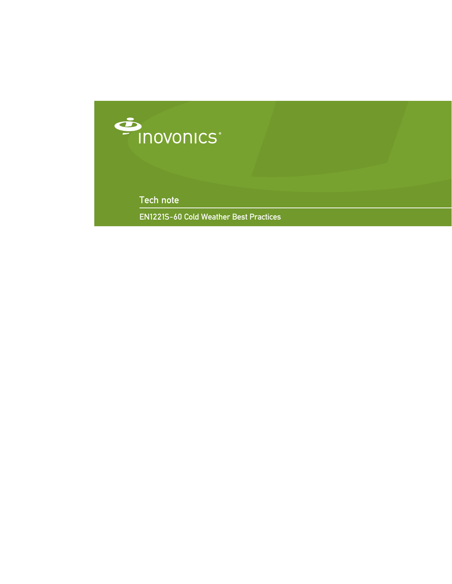

Tech note

EN1221S-60 Cold Weather Best Practices